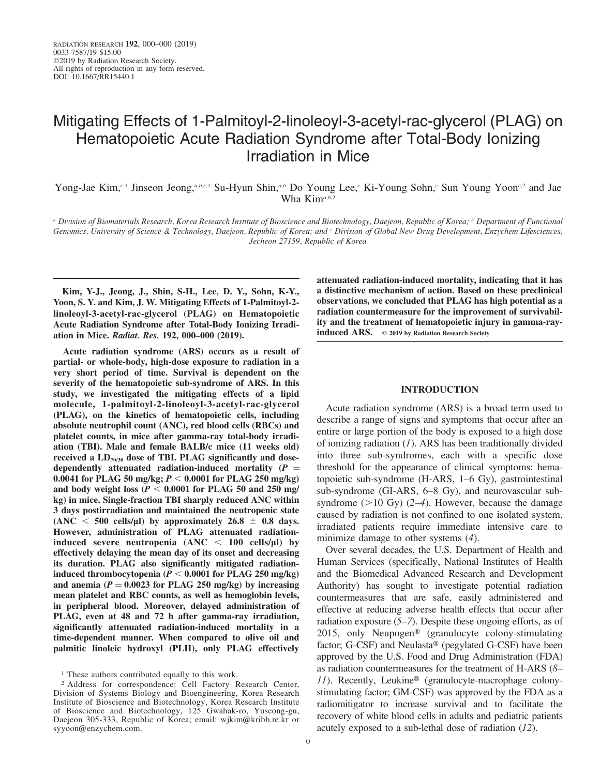# Mitigating Effects of 1-Palmitoyl-2-linoleoyl-3-acetyl-rac-glycerol (PLAG) on Hematopoietic Acute Radiation Syndrome after Total-Body Ionizing Irradiation in Mice

Yong-Jae Kim,<sup>c,1</sup> Jinseon Jeong,<sup>a,b,c,1</sup> Su-Hyun Shin,<sup>a,b</sup> Do Young Lee,<sup>c</sup> Ki-Young Sohn,<sup>c</sup> Sun Young Yoon<sup>c,2</sup> and Jae Wha Kim<sup>a,b,2</sup>

<sup>a</sup> Division of Biomaterials Research, Korea Research Institute of Bioscience and Biotechnology, Daejeon, Republic of Korea; <sup>b</sup> Department of Functional Genomics, University of Science & Technology, Daejeon, Republic of Korea; and *Division of Global New Drug Development*, Enzychem Lifesciences, Jecheon 27159, Republic of Korea

Kim, Y-J., Jeong, J., Shin, S-H., Lee, D. Y., Sohn, K-Y., Yoon, S. Y. and Kim, J. W. Mitigating Effects of 1-Palmitoyl-2 linoleoyl-3-acetyl-rac-glycerol (PLAG) on Hematopoietic Acute Radiation Syndrome after Total-Body Ionizing Irradiation in Mice. Radiat. Res. 192, 000–000 (2019).

Acute radiation syndrome (ARS) occurs as a result of partial- or whole-body, high-dose exposure to radiation in a very short period of time. Survival is dependent on the severity of the hematopoietic sub-syndrome of ARS. In this study, we investigated the mitigating effects of a lipid molecule, 1-palmitoyl-2-linoleoyl-3-acetyl-rac-glycerol (PLAG), on the kinetics of hematopoietic cells, including absolute neutrophil count (ANC), red blood cells (RBCs) and platelet counts, in mice after gamma-ray total-body irradiation (TBI). Male and female BALB/c mice (11 weeks old) received a  $LD_{70/30}$  dose of TBI. PLAG significantly and dosedependently attenuated radiation-induced mortality  $(P =$ 0.0041 for PLAG 50 mg/kg;  $P < 0.0001$  for PLAG 250 mg/kg) and body weight loss ( $P < 0.0001$  for PLAG 50 and 250 mg/ kg) in mice. Single-fraction TBI sharply reduced ANC within 3 days postirradiation and maintained the neutropenic state (ANC  $<$  500 cells/µl) by approximately 26.8  $\pm$  0.8 days. However, administration of PLAG attenuated radiationinduced severe neutropenia  $(ANC < 100$  cells/ $\mu$ l) by effectively delaying the mean day of its onset and decreasing its duration. PLAG also significantly mitigated radiationinduced thrombocytopenia ( $P < 0.0001$  for PLAG 250 mg/kg) and anemia ( $P = 0.0023$  for PLAG 250 mg/kg) by increasing mean platelet and RBC counts, as well as hemoglobin levels, in peripheral blood. Moreover, delayed administration of PLAG, even at 48 and 72 h after gamma-ray irradiation, significantly attenuated radiation-induced mortality in a time-dependent manner. When compared to olive oil and palmitic linoleic hydroxyl (PLH), only PLAG effectively attenuated radiation-induced mortality, indicating that it has a distinctive mechanism of action. Based on these preclinical observations, we concluded that PLAG has high potential as a radiation countermeasure for the improvement of survivability and the treatment of hematopoietic injury in gamma-rayinduced ARS.  $\circ$  2019 by Radiation Research Society

#### INTRODUCTION

Acute radiation syndrome (ARS) is a broad term used to describe a range of signs and symptoms that occur after an entire or large portion of the body is exposed to a high dose of ionizing radiation  $(I)$ . ARS has been traditionally divided into three sub-syndromes, each with a specific dose threshold for the appearance of clinical symptoms: hematopoietic sub-syndrome (H-ARS, 1–6 Gy), gastrointestinal sub-syndrome (GI-ARS, 6–8 Gy), and neurovascular subsyndrome  $(>10 \text{ Gy})$   $(2-4)$ . However, because the damage caused by radiation is not confined to one isolated system, irradiated patients require immediate intensive care to minimize damage to other systems (4).

Over several decades, the U.S. Department of Health and Human Services (specifically, National Institutes of Health and the Biomedical Advanced Research and Development Authority) has sought to investigate potential radiation countermeasures that are safe, easily administered and effective at reducing adverse health effects that occur after radiation exposure  $(5-7)$ . Despite these ongoing efforts, as of 2015, only Neupogen<sup>®</sup> (granulocyte colony-stimulating factor; G-CSF) and Neulasta<sup>®</sup> (pegylated G-CSF) have been approved by the U.S. Food and Drug Administration (FDA) as radiation countermeasures for the treatment of H-ARS (8– 11). Recently, Leukine® (granulocyte-macrophage colonystimulating factor; GM-CSF) was approved by the FDA as a radiomitigator to increase survival and to facilitate the recovery of white blood cells in adults and pediatric patients acutely exposed to a sub-lethal dose of radiation (12).

<sup>&</sup>lt;sup>1</sup> These authors contributed equally to this work.

<sup>2</sup> Address for correspondence: Cell Factory Research Center, Division of Systems Biology and Bioengineering, Korea Research Institute of Bioscience and Biotechnology, Korea Research Institute of Bioscience and Biotechnology, 125 Gwahak-ro, Yuseong-gu, Daejeon 305-333, Republic of Korea; email: wjkim@kribb.re.kr or syyoon@enzychem.com.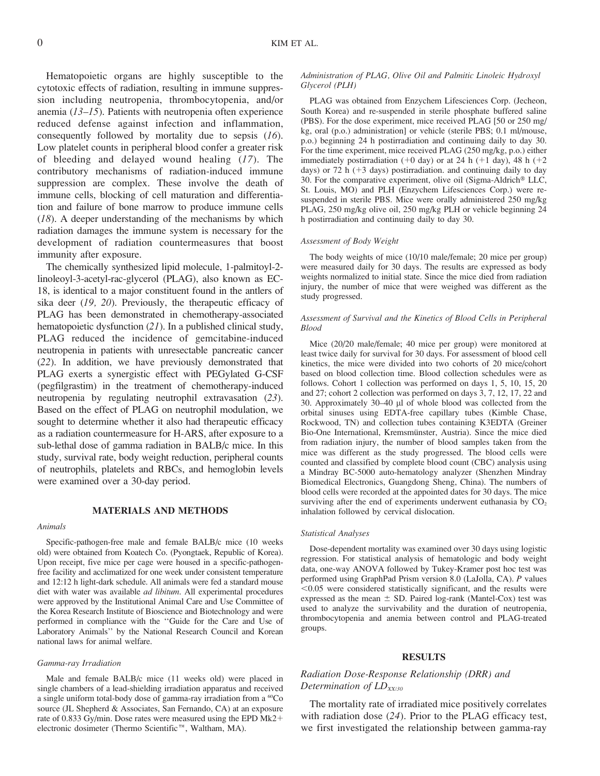Hematopoietic organs are highly susceptible to the cytotoxic effects of radiation, resulting in immune suppression including neutropenia, thrombocytopenia, and/or anemia (13–15). Patients with neutropenia often experience reduced defense against infection and inflammation, consequently followed by mortality due to sepsis (16). Low platelet counts in peripheral blood confer a greater risk of bleeding and delayed wound healing (17). The contributory mechanisms of radiation-induced immune suppression are complex. These involve the death of immune cells, blocking of cell maturation and differentiation and failure of bone marrow to produce immune cells  $(18)$ . A deeper understanding of the mechanisms by which radiation damages the immune system is necessary for the development of radiation countermeasures that boost immunity after exposure.

The chemically synthesized lipid molecule, 1-palmitoyl-2 linoleoyl-3-acetyl-rac-glycerol (PLAG), also known as EC-18, is identical to a major constituent found in the antlers of sika deer (19, 20). Previously, the therapeutic efficacy of PLAG has been demonstrated in chemotherapy-associated hematopoietic dysfunction (21). In a published clinical study, PLAG reduced the incidence of gemcitabine-induced neutropenia in patients with unresectable pancreatic cancer (22). In addition, we have previously demonstrated that PLAG exerts a synergistic effect with PEGylated G-CSF (pegfilgrastim) in the treatment of chemotherapy-induced neutropenia by regulating neutrophil extravasation (23). Based on the effect of PLAG on neutrophil modulation, we sought to determine whether it also had therapeutic efficacy as a radiation countermeasure for H-ARS, after exposure to a sub-lethal dose of gamma radiation in BALB/c mice. In this study, survival rate, body weight reduction, peripheral counts of neutrophils, platelets and RBCs, and hemoglobin levels were examined over a 30-day period.

## MATERIALS AND METHODS

#### Animals

Specific-pathogen-free male and female BALB/c mice (10 weeks old) were obtained from Koatech Co. (Pyongtaek, Republic of Korea). Upon receipt, five mice per cage were housed in a specific-pathogenfree facility and acclimatized for one week under consistent temperature and 12:12 h light-dark schedule. All animals were fed a standard mouse diet with water was available *ad libitum*. All experimental procedures were approved by the Institutional Animal Care and Use Committee of the Korea Research Institute of Bioscience and Biotechnology and were performed in compliance with the ''Guide for the Care and Use of Laboratory Animals'' by the National Research Council and Korean national laws for animal welfare.

#### Gamma-ray Irradiation

Male and female BALB/c mice (11 weeks old) were placed in single chambers of a lead-shielding irradiation apparatus and received a single uniform total-body dose of gamma-ray irradiation from a <sup>60</sup>Co source (JL Shepherd & Associates, San Fernando, CA) at an exposure rate of 0.833 Gy/min. Dose rates were measured using the EPD Mk2+ electronic dosimeter (Thermo Scientific<sup>™</sup>, Waltham, MA).

#### Administration of PLAG, Olive Oil and Palmitic Linoleic Hydroxyl Glycerol (PLH)

PLAG was obtained from Enzychem Lifesciences Corp. (Jecheon, South Korea) and re-suspended in sterile phosphate buffered saline (PBS). For the dose experiment, mice received PLAG [50 or 250 mg/ kg, oral (p.o.) administration] or vehicle (sterile PBS; 0.1 ml/mouse, p.o.) beginning 24 h postirradiation and continuing daily to day 30. For the time experiment, mice received PLAG (250 mg/kg, p.o.) either immediately postirradiation ( $+0$  day) or at 24 h ( $+1$  day), 48 h ( $+2$ days) or 72 h  $(+3$  days) postirradiation. and continuing daily to day 30. For the comparative experiment, olive oil (Sigma-Aldrich<sup>®</sup> LLC, St. Louis, MO) and PLH (Enzychem Lifesciences Corp.) were resuspended in sterile PBS. Mice were orally administered 250 mg/kg PLAG, 250 mg/kg olive oil, 250 mg/kg PLH or vehicle beginning 24 h postirradiation and continuing daily to day 30.

#### Assessment of Body Weight

The body weights of mice (10/10 male/female; 20 mice per group) were measured daily for 30 days. The results are expressed as body weights normalized to initial state. Since the mice died from radiation injury, the number of mice that were weighed was different as the study progressed.

## Assessment of Survival and the Kinetics of Blood Cells in Peripheral Blood

Mice (20/20 male/female; 40 mice per group) were monitored at least twice daily for survival for 30 days. For assessment of blood cell kinetics, the mice were divided into two cohorts of 20 mice/cohort based on blood collection time. Blood collection schedules were as follows. Cohort 1 collection was performed on days 1, 5, 10, 15, 20 and 27; cohort 2 collection was performed on days 3, 7, 12, 17, 22 and 30. Approximately 30–40 µl of whole blood was collected from the orbital sinuses using EDTA-free capillary tubes (Kimble Chase, Rockwood, TN) and collection tubes containing K3EDTA (Greiner Bio-One International, Kremsmünster, Austria). Since the mice died from radiation injury, the number of blood samples taken from the mice was different as the study progressed. The blood cells were counted and classified by complete blood count (CBC) analysis using a Mindray BC-5000 auto-hematology analyzer (Shenzhen Mindray Biomedical Electronics, Guangdong Sheng, China). The numbers of blood cells were recorded at the appointed dates for 30 days. The mice surviving after the end of experiments underwent euthanasia by  $CO<sub>2</sub>$ inhalation followed by cervical dislocation.

#### Statistical Analyses

Dose-dependent mortality was examined over 30 days using logistic regression. For statistical analysis of hematologic and body weight data, one-way ANOVA followed by Tukey-Kramer post hoc test was performed using GraphPad Prism version 8.0 (LaJolla, CA). P values  $<$ 0.05 were considered statistically significant, and the results were expressed as the mean  $\pm$  SD. Paired log-rank (Mantel-Cox) test was used to analyze the survivability and the duration of neutropenia, thrombocytopenia and anemia between control and PLAG-treated groups.

#### RESULTS

## Radiation Dose-Response Relationship (DRR) and Determination of  $LD_{XX/30}$

The mortality rate of irradiated mice positively correlates with radiation dose (24). Prior to the PLAG efficacy test, we first investigated the relationship between gamma-ray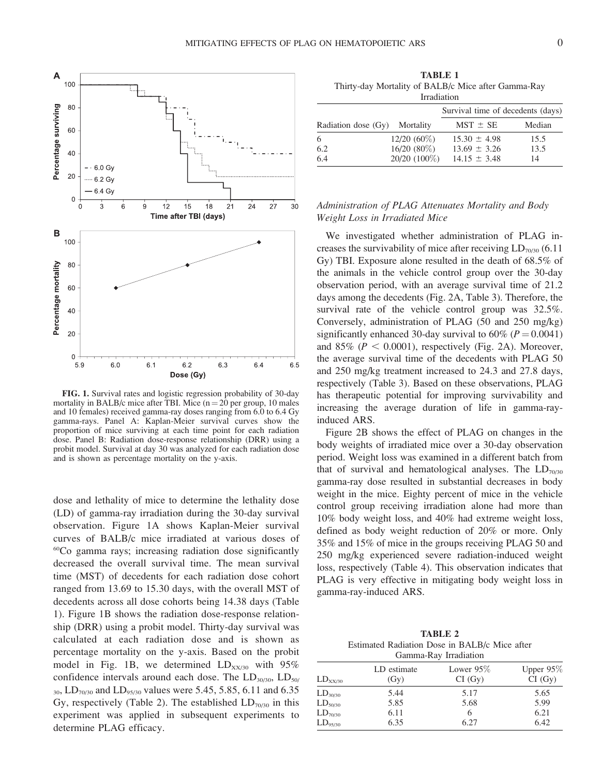

FIG. 1. Survival rates and logistic regression probability of 30-day mortality in BALB/c mice after TBI. Mice  $(n = 20$  per group, 10 males and 10 females) received gamma-ray doses ranging from 6.0 to 6.4 Gy gamma-rays. Panel A: Kaplan-Meier survival curves show the proportion of mice surviving at each time point for each radiation dose. Panel B: Radiation dose-response relationship (DRR) using a probit model. Survival at day 30 was analyzed for each radiation dose and is shown as percentage mortality on the y-axis.

dose and lethality of mice to determine the lethality dose (LD) of gamma-ray irradiation during the 30-day survival observation. Figure 1A shows Kaplan-Meier survival curves of BALB/c mice irradiated at various doses of  $60^{\circ}$ Co gamma rays; increasing radiation dose significantly decreased the overall survival time. The mean survival time (MST) of decedents for each radiation dose cohort ranged from 13.69 to 15.30 days, with the overall MST of decedents across all dose cohorts being 14.38 days (Table 1). Figure 1B shows the radiation dose-response relationship (DRR) using a probit model. Thirty-day survival was calculated at each radiation dose and is shown as percentage mortality on the y-axis. Based on the probit model in Fig. 1B, we determined  $LD_{XX/30}$  with 95% confidence intervals around each dose. The  $LD_{30/30}$ ,  $LD_{50/30}$  $_{30}$ , LD<sub>70/30</sub> and LD<sub>95/30</sub> values were 5.45, 5.85, 6.11 and 6.35 Gy, respectively (Table 2). The established  $LD_{70/30}$  in this experiment was applied in subsequent experiments to determine PLAG efficacy.

TABLE 1 Thirty-day Mortality of BALB/c Mice after Gamma-Ray Irradiation

| Survival time of decedents (days) |                 |                  |        |  |
|-----------------------------------|-----------------|------------------|--------|--|
| Radiation dose (Gy)               | Mortality       | $MST \pm SE$     | Median |  |
| 6                                 | $12/20(60\%)$   | $15.30 \pm 4.98$ | 15.5   |  |
| 6.2                               | $16/20(80\%)$   | $13.69 \pm 3.26$ | 13.5   |  |
| 6.4                               | $20/20$ (100\%) | $14.15 \pm 3.48$ | 14     |  |

## Administration of PLAG Attenuates Mortality and Body Weight Loss in Irradiated Mice

We investigated whether administration of PLAG increases the survivability of mice after receiving  $LD_{70/30}$  (6.11) Gy) TBI. Exposure alone resulted in the death of 68.5% of the animals in the vehicle control group over the 30-day observation period, with an average survival time of 21.2 days among the decedents (Fig. 2A, Table 3). Therefore, the survival rate of the vehicle control group was 32.5%. Conversely, administration of PLAG (50 and 250 mg/kg) significantly enhanced 30-day survival to  $60\%$  ( $P = 0.0041$ ) and 85% ( $P < 0.0001$ ), respectively (Fig. 2A). Moreover, the average survival time of the decedents with PLAG 50 and 250 mg/kg treatment increased to 24.3 and 27.8 days, respectively (Table 3). Based on these observations, PLAG has therapeutic potential for improving survivability and increasing the average duration of life in gamma-rayinduced ARS.

Figure 2B shows the effect of PLAG on changes in the body weights of irradiated mice over a 30-day observation period. Weight loss was examined in a different batch from that of survival and hematological analyses. The  $LD_{70/30}$ gamma-ray dose resulted in substantial decreases in body weight in the mice. Eighty percent of mice in the vehicle control group receiving irradiation alone had more than 10% body weight loss, and 40% had extreme weight loss, defined as body weight reduction of 20% or more. Only 35% and 15% of mice in the groups receiving PLAG 50 and 250 mg/kg experienced severe radiation-induced weight loss, respectively (Table 4). This observation indicates that PLAG is very effective in mitigating body weight loss in gamma-ray-induced ARS.

TABLE 2 Estimated Radiation Dose in BALB/c Mice after Gamma-Ray Irradiation

| <b>Oamma Kay Maghanon</b> |                     |                        |                        |  |  |
|---------------------------|---------------------|------------------------|------------------------|--|--|
| $LD_{XX/30}$              | LD estimate<br>(Gy) | Lower $95\%$<br>CI(Gy) | Upper $95\%$<br>CI(Gy) |  |  |
| LD <sub>30/30</sub>       | 5.44                | 5.17                   | 5.65                   |  |  |
| $LD_{50/30}$              | 5.85                | 5.68                   | 5.99                   |  |  |
| LD <sub>70/30</sub>       | 6.11                | 6                      | 6.21                   |  |  |
| $LD_{95/30}$              | 6.35                | 6.27                   | 6.42                   |  |  |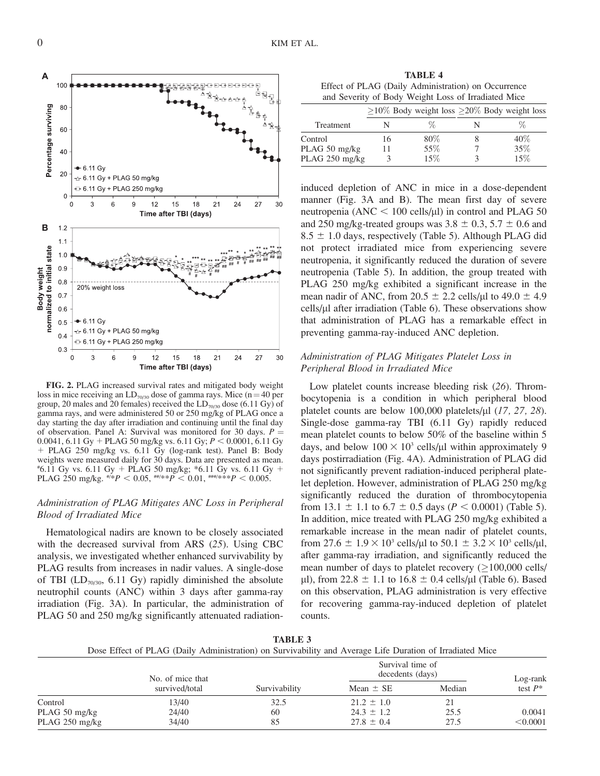

FIG. 2. PLAG increased survival rates and mitigated body weight loss in mice receiving an  $LD<sub>70/30</sub>$  dose of gamma rays. Mice (n = 40 per group, 20 males and 20 females) received the  $LD_{70/30}$  dose (6.11 Gy) of gamma rays, and were administered 50 or 250 mg/kg of PLAG once a day starting the day after irradiation and continuing until the final day of observation. Panel A: Survival was monitored for 30 days.  $P =$ 0.0041, 6.11 Gy + PLAG 50 mg/kg vs. 6.11 Gy;  $P < 0.0001$ , 6.11 Gy þ PLAG 250 mg/kg vs. 6.11 Gy (log-rank test). Panel B: Body weights were measured daily for 30 days. Data are presented as mean.  $*6.11$  Gy vs. 6.11 Gy + PLAG 50 mg/kg;  $*6.11$  Gy vs. 6.11 Gy + PLAG 250 mg/kg.  $\#^{*}P$  < 0.05,  $\#^{*}P$  < 0.01,  $\#^{*}P$  + 0.005.

## Administration of PLAG Mitigates ANC Loss in Peripheral Blood of Irradiated Mice

Hematological nadirs are known to be closely associated with the decreased survival from ARS (25). Using CBC analysis, we investigated whether enhanced survivability by PLAG results from increases in nadir values. A single-dose of TBI ( $LD<sub>70/30</sub>$ , 6.11 Gy) rapidly diminished the absolute neutrophil counts (ANC) within 3 days after gamma-ray irradiation (Fig. 3A). In particular, the administration of PLAG 50 and 250 mg/kg significantly attenuated radiation-

TABLE 4 Effect of PLAG (Daily Administration) on Occurrence and Severity of Body Weight Loss of Irradiated Mice

|                |    |        | $>10\%$ Body weight loss $>20\%$ Body weight loss |
|----------------|----|--------|---------------------------------------------------|
| Treatment      |    | Z      |                                                   |
| Control        | 16 | $80\%$ | $40\%$                                            |
| PLAG 50 mg/kg  |    | 55%    | 35%                                               |
| PLAG 250 mg/kg |    | 15%    | 15%                                               |

induced depletion of ANC in mice in a dose-dependent manner (Fig. 3A and B). The mean first day of severe neutropenia (ANC  $<$  100 cells/ $\mu$ I) in control and PLAG 50 and 250 mg/kg-treated groups was  $3.8 \pm 0.3$ ,  $5.7 \pm 0.6$  and  $8.5 \pm 1.0$  days, respectively (Table 5). Although PLAG did not protect irradiated mice from experiencing severe neutropenia, it significantly reduced the duration of severe neutropenia (Table 5). In addition, the group treated with PLAG 250 mg/kg exhibited a significant increase in the mean nadir of ANC, from 20.5  $\pm$  2.2 cells/µl to 49.0  $\pm$  4.9  $\text{cells/}\mu\text{l}$  after irradiation (Table 6). These observations show that administration of PLAG has a remarkable effect in preventing gamma-ray-induced ANC depletion.

## Administration of PLAG Mitigates Platelet Loss in Peripheral Blood in Irradiated Mice

Low platelet counts increase bleeding risk (26). Thrombocytopenia is a condition in which peripheral blood platelet counts are below 100,000 platelets/ $\mu$ l (17, 27, 28). Single-dose gamma-ray TBI (6.11 Gy) rapidly reduced mean platelet counts to below 50% of the baseline within 5 days, and below  $100 \times 10^3$  cells/ $\mu$ l within approximately 9 days postirradiation (Fig. 4A). Administration of PLAG did not significantly prevent radiation-induced peripheral platelet depletion. However, administration of PLAG 250 mg/kg significantly reduced the duration of thrombocytopenia from 13.1  $\pm$  1.1 to 6.7  $\pm$  0.5 days (P < 0.0001) (Table 5). In addition, mice treated with PLAG 250 mg/kg exhibited a remarkable increase in the mean nadir of platelet counts, from 27.6  $\pm$  1.9  $\times$  10<sup>3</sup> cells/µl to 50.1  $\pm$  3.2  $\times$  10<sup>3</sup> cells/µl, after gamma-ray irradiation, and significantly reduced the mean number of days to platelet recovery  $( \geq 100,000 \text{ cells}/$  $\mu$ l), from 22.8  $\pm$  1.1 to 16.8  $\pm$  0.4 cells/ $\mu$ l (Table 6). Based on this observation, PLAG administration is very effective for recovering gamma-ray-induced depletion of platelet counts.

Dose Effect of PLAG (Daily Administration) on Survivability and Average Life Duration of Irradiated Mice No. of mice that<br>survived/total Survivability Survival time of decedents (days)<br>
Example 1: SE Median Log-rank<br>
test  $P^*$ Mean  $\pm$  SE  $\frac{13}{40}$   $\frac{13}{40}$   $\frac{32.5}{21.2 \pm 1.0}$  21 PLAG 50 mg/kg 24/40 24.3 ± 1.2 25.5 0.0041<br>PLAG 250 mg/kg 34/40 34/40 85 27.8 ± 0.4 27.5 < 0.0001 PLAG 250 mg/kg

TABLE 3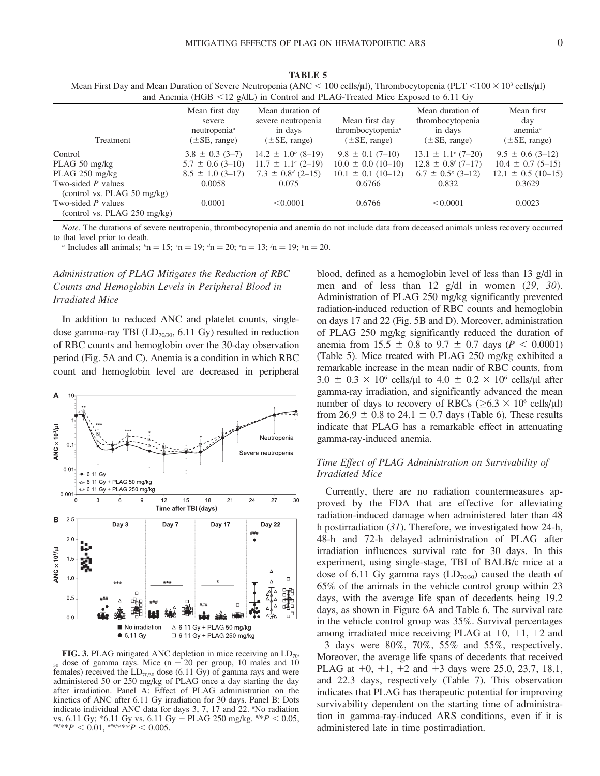| and Anemia (HGB $\leq$ 12 g/dL) in Control and PLAG-Treated Mice Exposed to 6.11 Gy |                                                                            |                                                                         |                                                                             |                                                                       |                                                            |  |
|-------------------------------------------------------------------------------------|----------------------------------------------------------------------------|-------------------------------------------------------------------------|-----------------------------------------------------------------------------|-----------------------------------------------------------------------|------------------------------------------------------------|--|
| Treatment                                                                           | Mean first day<br>severe<br>neutronenia <sup>a</sup><br>$(\pm SE$ , range) | Mean duration of<br>severe neutropenia<br>in days<br>$(\pm SE$ , range) | Mean first day<br>thrombocytopenia <sup>a</sup><br>$(\pm SE, \text{range})$ | Mean duration of<br>thrombocytopenia<br>in days<br>$(\pm SE$ , range) | Mean first<br>day<br>anemia $\alpha$<br>$(\pm SE$ , range) |  |
| Control                                                                             | $3.8 \pm 0.3$ (3-7)                                                        | $14.2 \pm 1.0^{b}$ (8-19)                                               | $9.8 \pm 0.1$ (7-10)                                                        | $13.1 \pm 1.1^{\circ}$ (7-20)                                         | $9.5 \pm 0.6$ (3-12)                                       |  |
| PLAG $50 \text{ mg/kg}$                                                             | $5.7 \pm 0.6$ (3-10)                                                       | $11.7 \pm 1.1^{\circ}$ (2-19)                                           | $10.0 \pm 0.0$ (10-10)                                                      | $12.8 \pm 0.8$ (7-17)                                                 | $10.4 \pm 0.7$ (5-15)                                      |  |
| PLAG $250 \text{ mg/kg}$                                                            | $8.5 \pm 1.0$ (3-17)                                                       | $7.3 \pm 0.8^{d}$ (2-15)                                                | $10.1 \pm 0.1$ (10-12)                                                      | $6.7 \pm 0.5^{8}$ (3-12)                                              | $12.1 \pm 0.5$ (10-15)                                     |  |
| Two-sided $P$ values<br>(control vs. PLAG 50 mg/kg)                                 | 0.0058                                                                     | 0.075                                                                   | 0.6766                                                                      | 0.832                                                                 | 0.3629                                                     |  |
| Two-sided $P$ values<br>(control vs. PLAG $250 \text{ mg/kg}$ )                     | 0.0001                                                                     | < 0.0001                                                                | 0.6766                                                                      | < 0.0001                                                              | 0.0023                                                     |  |

TABLE 5 Mean First Day and Mean Duration of Severe Neutropenia (ANC < 100 cells/ $\mu$ l), Thrombocytopenia (PLT <100 × 10<sup>3</sup> cells/ $\mu$ l)

Note. The durations of severe neutropenia, thrombocytopenia and anemia do not include data from deceased animals unless recovery occurred to that level prior to death.

*a* Includes all animals;  ${}^b n = 15$ ;  ${}^c n = 19$ ;  ${}^d n = 20$ ;  ${}^e n = 13$ ;  ${}^f n = 19$ ;  ${}^s n = 20$ .

# Administration of PLAG Mitigates the Reduction of RBC Counts and Hemoglobin Levels in Peripheral Blood in Irradiated Mice

In addition to reduced ANC and platelet counts, singledose gamma-ray TBI ( $LD<sub>70/30</sub>$ , 6.11 Gy) resulted in reduction of RBC counts and hemoglobin over the 30-day observation period (Fig. 5A and C). Anemia is a condition in which RBC count and hemoglobin level are decreased in peripheral



FIG. 3. PLAG mitigated ANC depletion in mice receiving an  $LD_{70/2}$  $_{30}$  dose of gamma rays. Mice (n = 20 per group, 10 males and 10 females) received the  $LD_{70/30}$  dose (6.11 Gy) of gamma rays and were administered 50 or 250 mg/kg of PLAG once a day starting the day after irradiation. Panel A: Effect of PLAG administration on the kinetics of ANC after 6.11 Gy irradiation for 30 days. Panel B: Dots indicate individual ANC data for days 3, 7, 17 and 22. # No radiation vs. 6.11 Gy; \*6.11 Gy vs. 6.11 Gy + PLAG 250 mg/kg.  $\frac{\#2P}{P}$  < 0.05,  $^{***}P < 0.01, ^{***}P < 0.005.$ 

blood, defined as a hemoglobin level of less than 13 g/dl in men and of less than 12 g/dl in women (29, 30). Administration of PLAG 250 mg/kg significantly prevented radiation-induced reduction of RBC counts and hemoglobin on days 17 and 22 (Fig. 5B and D). Moreover, administration of PLAG 250 mg/kg significantly reduced the duration of anemia from 15.5  $\pm$  0.8 to 9.7  $\pm$  0.7 days (P < 0.0001) (Table 5). Mice treated with PLAG 250 mg/kg exhibited a remarkable increase in the mean nadir of RBC counts, from  $3.0 \pm 0.3 \times 10^6$  cells/ul to  $4.0 \pm 0.2 \times 10^6$  cells/ul after gamma-ray irradiation, and significantly advanced the mean number of days to recovery of RBCs ( $\geq 6.3 \times 10^6$  cells/ $\mu$ l) from 26.9  $\pm$  0.8 to 24.1  $\pm$  0.7 days (Table 6). These results indicate that PLAG has a remarkable effect in attenuating gamma-ray-induced anemia.

## Time Effect of PLAG Administration on Survivability of Irradiated Mice

Currently, there are no radiation countermeasures approved by the FDA that are effective for alleviating radiation-induced damage when administered later than 48 h postirradiation (31). Therefore, we investigated how 24-h, 48-h and 72-h delayed administration of PLAG after irradiation influences survival rate for 30 days. In this experiment, using single-stage, TBI of BALB/c mice at a dose of 6.11 Gy gamma rays  $(LD_{70/30})$  caused the death of 65% of the animals in the vehicle control group within 23 days, with the average life span of decedents being 19.2 days, as shown in Figure 6A and Table 6. The survival rate in the vehicle control group was 35%. Survival percentages among irradiated mice receiving PLAG at  $+0$ ,  $+1$ ,  $+2$  and  $+3$  days were 80%, 70%, 55% and 55%, respectively. Moreover, the average life spans of decedents that received PLAG at  $+0$ ,  $+1$ ,  $+2$  and  $+3$  days were 25.0, 23.7, 18.1, and 22.3 days, respectively (Table 7). This observation indicates that PLAG has therapeutic potential for improving survivability dependent on the starting time of administration in gamma-ray-induced ARS conditions, even if it is administered late in time postirradiation.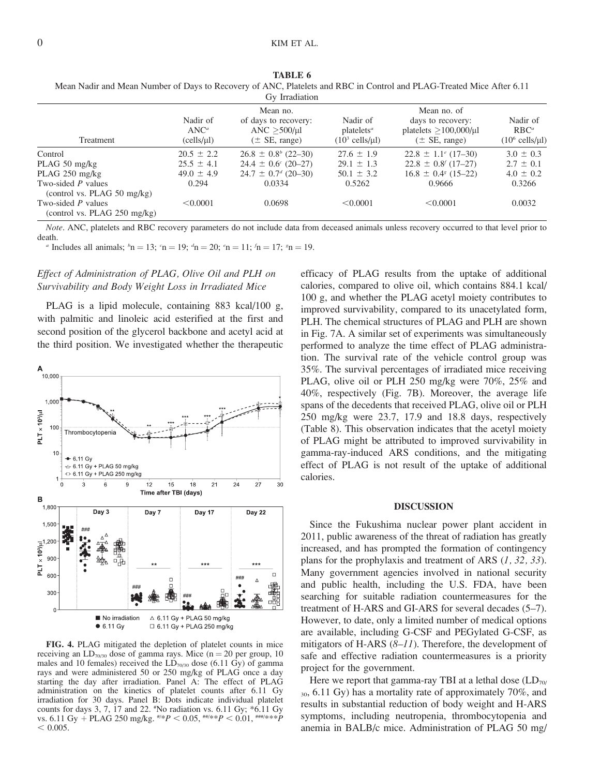|                                                                 |                                          | Gy Irradiation                                                            |                                                                          |                                                                                     |                                                           |
|-----------------------------------------------------------------|------------------------------------------|---------------------------------------------------------------------------|--------------------------------------------------------------------------|-------------------------------------------------------------------------------------|-----------------------------------------------------------|
| Treatment                                                       | Nadir of<br>$\text{ANC}^a$<br>(cells/µl) | Mean no.<br>of days to recovery:<br>ANC $>500/\mu$ l<br>$(\pm$ SE, range) | Nadir of<br>platelets <sup>a</sup><br>$(10^3 \text{ cells/}\mu\text{I})$ | Mean no. of<br>days to recovery:<br>platelets $>100,000/\mu l$<br>$(\pm$ SE, range) | Nadir of<br>$RBC^a$<br>$(10^6 \text{ cells/}\mu\text{I})$ |
| Control                                                         | $20.5 \pm 2.2$                           | $26.8 \pm 0.8^b$ (22-30)                                                  | $27.6 \pm 1.9$                                                           | $22.8 \pm 1.1^{\circ}$ (17-30)                                                      | $3.0 \pm 0.3$                                             |
| PLAG 50 mg/kg                                                   | $25.5 \pm 4.1$                           | $24.4 \pm 0.6^{\circ}$ (20-27)                                            | $29.1 \pm 1.3$                                                           | $22.8 \pm 0.8$ (17-27)                                                              | $2.7 \pm 0.1$                                             |
| PLAG 250 mg/kg                                                  | $49.0 \pm 4.9$                           | $24.7 \pm 0.7^{d}$ (20-30)                                                | $50.1 \pm 3.2$                                                           | $16.8 \pm 0.4$ (15-22)                                                              | $4.0 \pm 0.2$                                             |
| Two-sided P values<br>(control vs. PLAG 50 mg/kg)               | 0.294                                    | 0.0334                                                                    | 0.5262                                                                   | 0.9666                                                                              | 0.3266                                                    |
| Two-sided $P$ values<br>(control vs. PLAG $250 \text{ mg/kg}$ ) | < 0.0001                                 | 0.0698                                                                    | < 0.0001                                                                 | < 0.0001                                                                            | 0.0032                                                    |

| TABLE 6                                                                                                              |
|----------------------------------------------------------------------------------------------------------------------|
| Mean Nadir and Mean Number of Days to Recovery of ANC, Platelets and RBC in Control and PLAG-Treated Mice After 6.11 |
| $\sim$ $\sim$ $\sim$ $\sim$                                                                                          |

Note. ANC, platelets and RBC recovery parameters do not include data from deceased animals unless recovery occurred to that level prior to death.

*a* Includes all animals;  ${}^b n = 13$ ;  ${}^c n = 19$ ;  ${}^d n = 20$ ;  ${}^e n = 11$ ;  ${}^f n = 17$ ;  ${}^s n = 19$ .

## Effect of Administration of PLAG, Olive Oil and PLH on Survivability and Body Weight Loss in Irradiated Mice

PLAG is a lipid molecule, containing 883 kcal/100 g, with palmitic and linoleic acid esterified at the first and second position of the glycerol backbone and acetyl acid at the third position. We investigated whether the therapeutic



FIG. 4. PLAG mitigated the depletion of platelet counts in mice receiving an  $LD_{70/30}$  dose of gamma rays. Mice (n = 20 per group, 10 males and 10 females) received the  $LD_{70/30}$  dose (6.11 Gy) of gamma rays and were administered 50 or 250 mg/kg of PLAG once a day starting the day after irradiation. Panel A: The effect of PLAG administration on the kinetics of platelet counts after 6.11 Gy irradiation for 30 days. Panel B: Dots indicate individual platelet counts for days 3, 7, 17 and 22. # No radiation vs. 6.11 Gy; \*6.11 Gy vs. 6.11 Gy + PLAG 250 mg/kg.  $\frac{\#k}{P}$  < 0.05,  $\frac{\#k}{P}$  < 0.01,  $\frac{\#m}{k}$ \*\*P  $< 0.005$ .

efficacy of PLAG results from the uptake of additional calories, compared to olive oil, which contains 884.1 kcal/ 100 g, and whether the PLAG acetyl moiety contributes to improved survivability, compared to its unacetylated form, PLH. The chemical structures of PLAG and PLH are shown in Fig. 7A. A similar set of experiments was simultaneously performed to analyze the time effect of PLAG administration. The survival rate of the vehicle control group was 35%. The survival percentages of irradiated mice receiving PLAG, olive oil or PLH 250 mg/kg were 70%, 25% and 40%, respectively (Fig. 7B). Moreover, the average life spans of the decedents that received PLAG, olive oil or PLH 250 mg/kg were 23.7, 17.9 and 18.8 days, respectively (Table 8). This observation indicates that the acetyl moiety of PLAG might be attributed to improved survivability in gamma-ray-induced ARS conditions, and the mitigating effect of PLAG is not result of the uptake of additional calories.

## DISCUSSION

Since the Fukushima nuclear power plant accident in 2011, public awareness of the threat of radiation has greatly increased, and has prompted the formation of contingency plans for the prophylaxis and treatment of ARS  $(1, 32, 33)$ . Many government agencies involved in national security and public health, including the U.S. FDA, have been searching for suitable radiation countermeasures for the treatment of H-ARS and GI-ARS for several decades (5–7). However, to date, only a limited number of medical options are available, including G-CSF and PEGylated G-CSF, as mitigators of H-ARS  $(8-11)$ . Therefore, the development of safe and effective radiation countermeasures is a priority project for the government.

Here we report that gamma-ray TBI at a lethal dose  $(LD_{70}/$  $30, 6.11$  Gy) has a mortality rate of approximately 70%, and results in substantial reduction of body weight and H-ARS symptoms, including neutropenia, thrombocytopenia and anemia in BALB/c mice. Administration of PLAG 50 mg/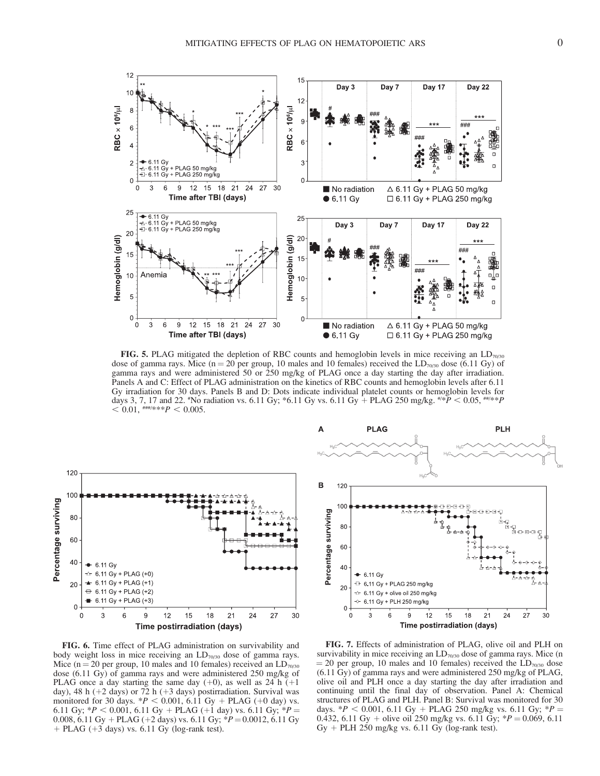

**FIG. 5.** PLAG mitigated the depletion of RBC counts and hemoglobin levels in mice receiving an  $LD_{70,30}$ dose of gamma rays. Mice (n = 20 per group, 10 males and 10 females) received the  $LD_{70/30}$  dose (6.11 Gy) of gamma rays and were administered 50 or 250 mg/kg of PLAG once a day starting the day after irradiation. Panels A and C: Effect of PLAG administration on the kinetics of RBC counts and hemoglobin levels after 6.11 Gy irradiation for 30 days. Panels B and D: Dots indicate individual platelet counts or hemoglobin levels for days 3, 7, 17 and 22. "No radiation vs. 6.11 Gy; \*6.11 Gy vs. 6.11 Gy + PLAG 250 mg/kg. "\* $P < 0.05$ , "\*\* $P$  $< 0.01,$  ###/\*\*\* $P < 0.005.$ 



FIG. 6. Time effect of PLAG administration on survivability and body weight loss in mice receiving an  $LD<sub>70/30</sub>$  dose of gamma rays. Mice (n = 20 per group, 10 males and 10 females) received an  $LD<sub>70/30</sub>$ dose (6.11 Gy) of gamma rays and were administered 250 mg/kg of PLAG once a day starting the same day  $(+0)$ , as well as 24 h  $(+1)$ day), 48 h (+2 days) or 72 h (+3 days) postirradiation. Survival was monitored for 30 days.  $*P < 0.001$ , 6.11 Gy + PLAG (+0 day) vs. 6.11 Gy;  $*P < 0.001$ , 6.11 Gy + PLAG (+1 day) vs. 6.11 Gy;  $*P =$ 0.008, 6.11 Gy + PLAG (+2 days) vs. 6.11 Gy;  $*P = 0.0012$ , 6.11 Gy  $+$  PLAG ( $+3$  days) vs. 6.11 Gy (log-rank test).



FIG. 7. Effects of administration of PLAG, olive oil and PLH on survivability in mice receiving an  $LD<sub>70/30</sub>$  dose of gamma rays. Mice (n  $=$  20 per group, 10 males and 10 females) received the  $LD<sub>70/30</sub>$  dose (6.11 Gy) of gamma rays and were administered 250 mg/kg of PLAG, olive oil and PLH once a day starting the day after irradiation and continuing until the final day of observation. Panel A: Chemical structures of PLAG and PLH. Panel B: Survival was monitored for 30 days. \* $P$  < 0.001, 6.11 Gy + PLAG 250 mg/kg vs. 6.11 Gy; \* $P$  = 0.432, 6.11 Gy + olive oil 250 mg/kg vs. 6.11 Gy;  $*P = 0.069, 6.11$ Gy + PLH 250 mg/kg vs.  $6.11$  Gy (log-rank test).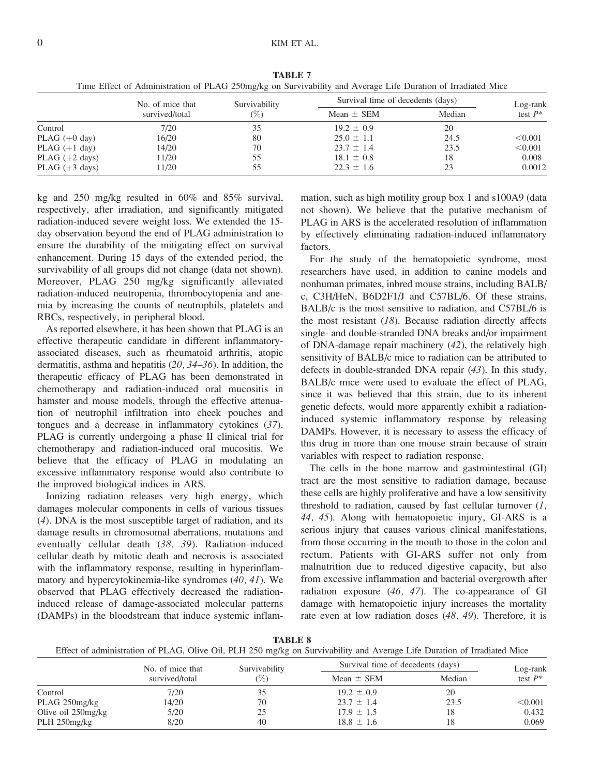|                  | No. of mice that | Survivability<br>$(\%)$ | Survival time of decedents (days) |        | Log-rank   |
|------------------|------------------|-------------------------|-----------------------------------|--------|------------|
|                  | survived/total   |                         | Mean $\pm$ SEM                    | Median | test $P^*$ |
| Control          | 7/20             | 35                      | $19.2 \pm 0.9$                    | 20     |            |
| PLAG $(+0$ day)  | 16/20            | 80                      | $25.0 \pm 1.1$                    | 24.5   | < 0.001    |
| PLAG $(+1$ day)  | 14/20            | 70                      | $23.7 \pm 1.4$                    | 23.5   | < 0.001    |
| PLAG $(+2$ days) | 11/20            | 55                      | $18.1 \pm 0.8$                    | 18     | 0.008      |
| PLAG $(+3$ days) | 11/20            | 55                      | $22.3 \pm 1.6$                    | 23     | 0.0012     |

TABLE 7 Time Effect of Administration of PLAG 250mg/kg on Survivability and Average Life Duration of Irradiated Mice

kg and 250 mg/kg resulted in 60% and 85% survival, respectively, after irradiation, and significantly mitigated radiation-induced severe weight loss. We extended the 15 day observation beyond the end of PLAG administration to ensure the durability of the mitigating effect on survival enhancement. During 15 days of the extended period, the survivability of all groups did not change (data not shown). Moreover, PLAG 250 mg/kg significantly alleviated radiation-induced neutropenia, thrombocytopenia and anemia by increasing the counts of neutrophils, platelets and RBCs, respectively, in peripheral blood.

As reported elsewhere, it has been shown that PLAG is an effective therapeutic candidate in different inflammatoryassociated diseases, such as rheumatoid arthritis, atopic dermatitis, asthma and hepatitis (20, 34–36). In addition, the therapeutic efficacy of PLAG has been demonstrated in chemotherapy and radiation-induced oral mucositis in hamster and mouse models, through the effective attenuation of neutrophil infiltration into cheek pouches and tongues and a decrease in inflammatory cytokines (37). PLAG is currently undergoing a phase II clinical trial for chemotherapy and radiation-induced oral mucositis. We believe that the efficacy of PLAG in modulating an excessive inflammatory response would also contribute to the improved biological indices in ARS.

Ionizing radiation releases very high energy, which damages molecular components in cells of various tissues (4). DNA is the most susceptible target of radiation, and its damage results in chromosomal aberrations, mutations and eventually cellular death (38, 39). Radiation-induced cellular death by mitotic death and necrosis is associated with the inflammatory response, resulting in hyperinflammatory and hypercytokinemia-like syndromes (40, 41). We observed that PLAG effectively decreased the radiationinduced release of damage-associated molecular patterns (DAMPs) in the bloodstream that induce systemic inflammation, such as high motility group box 1 and s100A9 (data not shown). We believe that the putative mechanism of PLAG in ARS is the accelerated resolution of inflammation by effectively eliminating radiation-induced inflammatory factors.

For the study of the hematopoietic syndrome, most researchers have used, in addition to canine models and nonhuman primates, inbred mouse strains, including BALB/ c, C3H/HeN, B6D2F1/J and C57BL/6. Of these strains, BALB/c is the most sensitive to radiation, and C57BL/6 is the most resistant  $(18)$ . Because radiation directly affects single- and double-stranded DNA breaks and/or impairment of DNA-damage repair machinery (42), the relatively high sensitivity of BALB/c mice to radiation can be attributed to defects in double-stranded DNA repair (43). In this study, BALB/c mice were used to evaluate the effect of PLAG, since it was believed that this strain, due to its inherent genetic defects, would more apparently exhibit a radiationinduced systemic inflammatory response by releasing DAMPs. However, it is necessary to assess the efficacy of this drug in more than one mouse strain because of strain variables with respect to radiation response.

The cells in the bone marrow and gastrointestinal (GI) tract are the most sensitive to radiation damage, because these cells are highly proliferative and have a low sensitivity threshold to radiation, caused by fast cellular turnover  $(l,$ 44, 45). Along with hematopoietic injury, GI-ARS is a serious injury that causes various clinical manifestations, from those occurring in the mouth to those in the colon and rectum. Patients with GI-ARS suffer not only from malnutrition due to reduced digestive capacity, but also from excessive inflammation and bacterial overgrowth after radiation exposure (46, 47). The co-appearance of GI damage with hematopoietic injury increases the mortality rate even at low radiation doses (48, 49). Therefore, it is

TABLE 8

| Effect of administration of PLAG, Olive Oil, PLH 250 mg/kg on Survivability and Average Life Duration of Irradiated Mice |  |  |  |
|--------------------------------------------------------------------------------------------------------------------------|--|--|--|
|                                                                                                                          |  |  |  |
|                                                                                                                          |  |  |  |

|                    | No. of mice that | Survivability | Survival time of decedents (days) |        | Log-rank   |
|--------------------|------------------|---------------|-----------------------------------|--------|------------|
|                    | survived/total   | $(\%)$        | Mean $\pm$ SEM                    | Median | test $P^*$ |
| Control            | 7/20             |               | $19.2 \pm 0.9$                    | 20     |            |
| PLAG $250$ mg/kg   | 14/20            | 70            | $23.7 \pm 1.4$                    | 23.5   | < 0.001    |
| Olive oil 250mg/kg | 5/20             | 25            | $17.9 \pm 1.5$                    | 18     | 0.432      |
| PLH 250mg/kg       | 8/20             | 40            | $18.8 \pm 1.6$                    | 18     | 0.069      |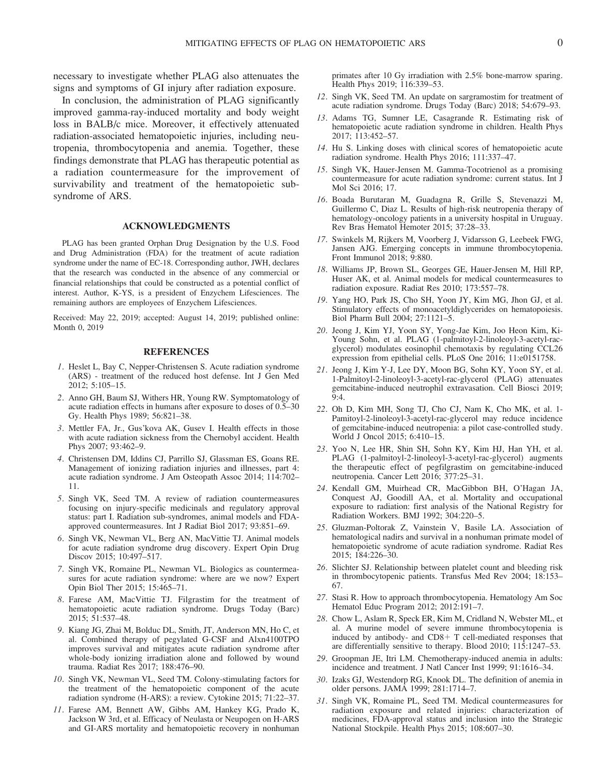necessary to investigate whether PLAG also attenuates the signs and symptoms of GI injury after radiation exposure.

In conclusion, the administration of PLAG significantly improved gamma-ray-induced mortality and body weight loss in BALB/c mice. Moreover, it effectively attenuated radiation-associated hematopoietic injuries, including neutropenia, thrombocytopenia and anemia. Together, these findings demonstrate that PLAG has therapeutic potential as a radiation countermeasure for the improvement of survivability and treatment of the hematopoietic subsyndrome of ARS.

## ACKNOWLEDGMENTS

PLAG has been granted Orphan Drug Designation by the U.S. Food and Drug Administration (FDA) for the treatment of acute radiation syndrome under the name of EC-18. Corresponding author, JWH, declares that the research was conducted in the absence of any commercial or financial relationships that could be constructed as a potential conflict of interest. Author, K-YS, is a president of Enzychem Lifesciences. The remaining authors are employees of Enzychem Lifesciences.

Received: May 22, 2019; accepted: August 14, 2019; published online: Month 0, 2019

## **REFERENCES**

- 1. Heslet L, Bay C, Nepper-Christensen S. Acute radiation syndrome (ARS) - treatment of the reduced host defense. Int J Gen Med 2012; 5:105–15.
- 2. Anno GH, Baum SJ, Withers HR, Young RW. Symptomatology of acute radiation effects in humans after exposure to doses of 0.5–30 Gy. Health Phys 1989; 56:821–38.
- 3. Mettler FA, Jr., Gus'kova AK, Gusev I. Health effects in those with acute radiation sickness from the Chernobyl accident. Health Phys 2007; 93:462–9.
- 4. Christensen DM, Iddins CJ, Parrillo SJ, Glassman ES, Goans RE. Management of ionizing radiation injuries and illnesses, part 4: acute radiation syndrome. J Am Osteopath Assoc 2014; 114:702– 11.
- 5. Singh VK, Seed TM. A review of radiation countermeasures focusing on injury-specific medicinals and regulatory approval status: part I. Radiation sub-syndromes, animal models and FDAapproved countermeasures. Int J Radiat Biol 2017; 93:851–69.
- 6. Singh VK, Newman VL, Berg AN, MacVittie TJ. Animal models for acute radiation syndrome drug discovery. Expert Opin Drug Discov 2015; 10:497–517.
- 7. Singh VK, Romaine PL, Newman VL. Biologics as countermeasures for acute radiation syndrome: where are we now? Expert Opin Biol Ther 2015; 15:465–71.
- 8. Farese AM, MacVittie TJ. Filgrastim for the treatment of hematopoietic acute radiation syndrome. Drugs Today (Barc) 2015; 51:537–48.
- 9. Kiang JG, Zhai M, Bolduc DL, Smith, JT, Anderson MN, Ho C, et al. Combined therapy of pegylated G-CSF and Alxn4100TPO improves survival and mitigates acute radiation syndrome after whole-body ionizing irradiation alone and followed by wound trauma. Radiat Res 2017; 188:476–90.
- 10. Singh VK, Newman VL, Seed TM. Colony-stimulating factors for the treatment of the hematopoietic component of the acute radiation syndrome (H-ARS): a review. Cytokine 2015; 71:22–37.
- 11. Farese AM, Bennett AW, Gibbs AM, Hankey KG, Prado K, Jackson W 3rd, et al. Efficacy of Neulasta or Neupogen on H-ARS and GI-ARS mortality and hematopoietic recovery in nonhuman

primates after 10 Gy irradiation with 2.5% bone-marrow sparing. Health Phys 2019; 116:339–53.

- 12. Singh VK, Seed TM. An update on sargramostim for treatment of acute radiation syndrome. Drugs Today (Barc) 2018; 54:679–93.
- 13. Adams TG, Sumner LE, Casagrande R. Estimating risk of hematopoietic acute radiation syndrome in children. Health Phys 2017; 113:452–57.
- 14. Hu S. Linking doses with clinical scores of hematopoietic acute radiation syndrome. Health Phys 2016; 111:337–47.
- 15. Singh VK, Hauer-Jensen M. Gamma-Tocotrienol as a promising countermeasure for acute radiation syndrome: current status. Int J Mol Sci 2016; 17.
- 16. Boada Burutaran M, Guadagna R, Grille S, Stevenazzi M, Guillermo C, Diaz L. Results of high-risk neutropenia therapy of hematology-oncology patients in a university hospital in Uruguay. Rev Bras Hematol Hemoter 2015; 37:28–33.
- 17. Swinkels M, Rijkers M, Voorberg J, Vidarsson G, Leebeek FWG, Jansen AJG. Emerging concepts in immune thrombocytopenia. Front Immunol 2018; 9:880.
- 18. Williams JP, Brown SL, Georges GE, Hauer-Jensen M, Hill RP, Huser AK, et al. Animal models for medical countermeasures to radiation exposure. Radiat Res 2010; 173:557–78.
- 19. Yang HO, Park JS, Cho SH, Yoon JY, Kim MG, Jhon GJ, et al. Stimulatory effects of monoacetyldiglycerides on hematopoiesis. Biol Pharm Bull 2004; 27:1121–5.
- 20. Jeong J, Kim YJ, Yoon SY, Yong-Jae Kim, Joo Heon Kim, Ki-Young Sohn, et al. PLAG (1-palmitoyl-2-linoleoyl-3-acetyl-racglycerol) modulates eosinophil chemotaxis by regulating CCL26 expression from epithelial cells. PLoS One 2016; 11:e0151758.
- 21. Jeong J, Kim Y-J, Lee DY, Moon BG, Sohn KY, Yoon SY, et al. 1-Palmitoyl-2-linoleoyl-3-acetyl-rac-glycerol (PLAG) attenuates gemcitabine-induced neutrophil extravasation. Cell Biosci 2019; 9:4.
- 22. Oh D, Kim MH, Song TJ, Cho CJ, Nam K, Cho MK, et al. 1- Pamitoyl-2-linoleoyl-3-acetyl-rac-glycerol may reduce incidence of gemcitabine-induced neutropenia: a pilot case-controlled study. World J Oncol 2015; 6:410–15.
- 23. Yoo N, Lee HR, Shin SH, Sohn KY, Kim HJ, Han YH, et al. PLAG (1-palmitoyl-2-linoleoyl-3-acetyl-rac-glycerol) augments the therapeutic effect of pegfilgrastim on gemcitabine-induced neutropenia. Cancer Lett 2016; 377:25–31.
- 24. Kendall GM, Muirhead CR, MacGibbon BH, O'Hagan JA, Conquest AJ, Goodill AA, et al. Mortality and occupational exposure to radiation: first analysis of the National Registry for Radiation Workers. BMJ 1992; 304:220–5.
- 25. Gluzman-Poltorak Z, Vainstein V, Basile LA. Association of hematological nadirs and survival in a nonhuman primate model of hematopoietic syndrome of acute radiation syndrome. Radiat Res 2015; 184:226–30.
- 26. Slichter SJ. Relationship between platelet count and bleeding risk in thrombocytopenic patients. Transfus Med Rev 2004; 18:153– 67.
- 27. Stasi R. How to approach thrombocytopenia. Hematology Am Soc Hematol Educ Program 2012; 2012:191–7.
- 28. Chow L, Aslam R, Speck ER, Kim M, Cridland N, Webster ML, et al. A murine model of severe immune thrombocytopenia is induced by antibody- and  $CD8+T$  cell-mediated responses that are differentially sensitive to therapy. Blood 2010; 115:1247–53.
- 29. Groopman JE, Itri LM. Chemotherapy-induced anemia in adults: incidence and treatment. J Natl Cancer Inst 1999; 91:1616–34.
- 30. Izaks GJ, Westendorp RG, Knook DL. The definition of anemia in older persons. JAMA 1999; 281:1714–7.
- 31. Singh VK, Romaine PL, Seed TM. Medical countermeasures for radiation exposure and related injuries: characterization of medicines, FDA-approval status and inclusion into the Strategic National Stockpile. Health Phys 2015; 108:607–30.